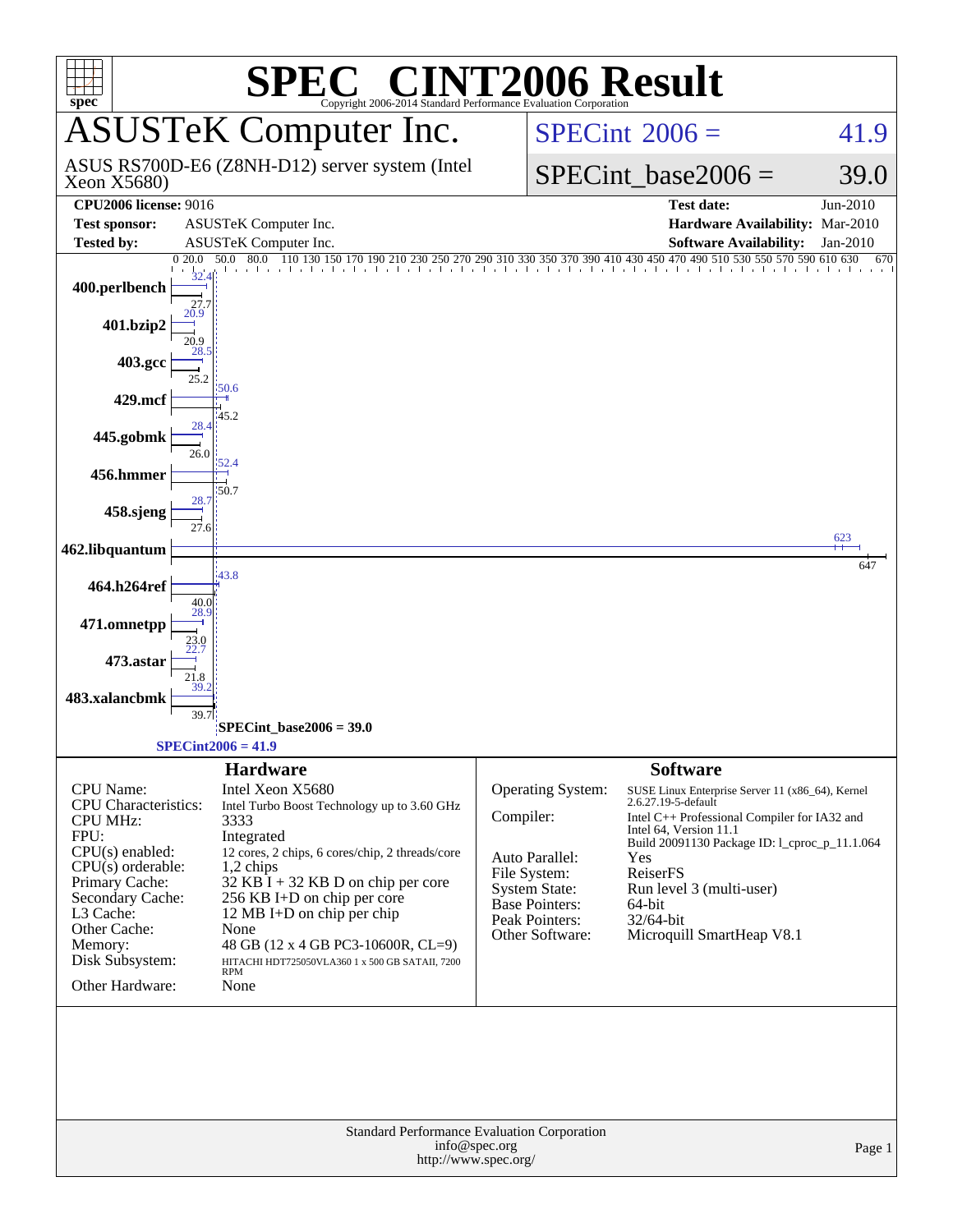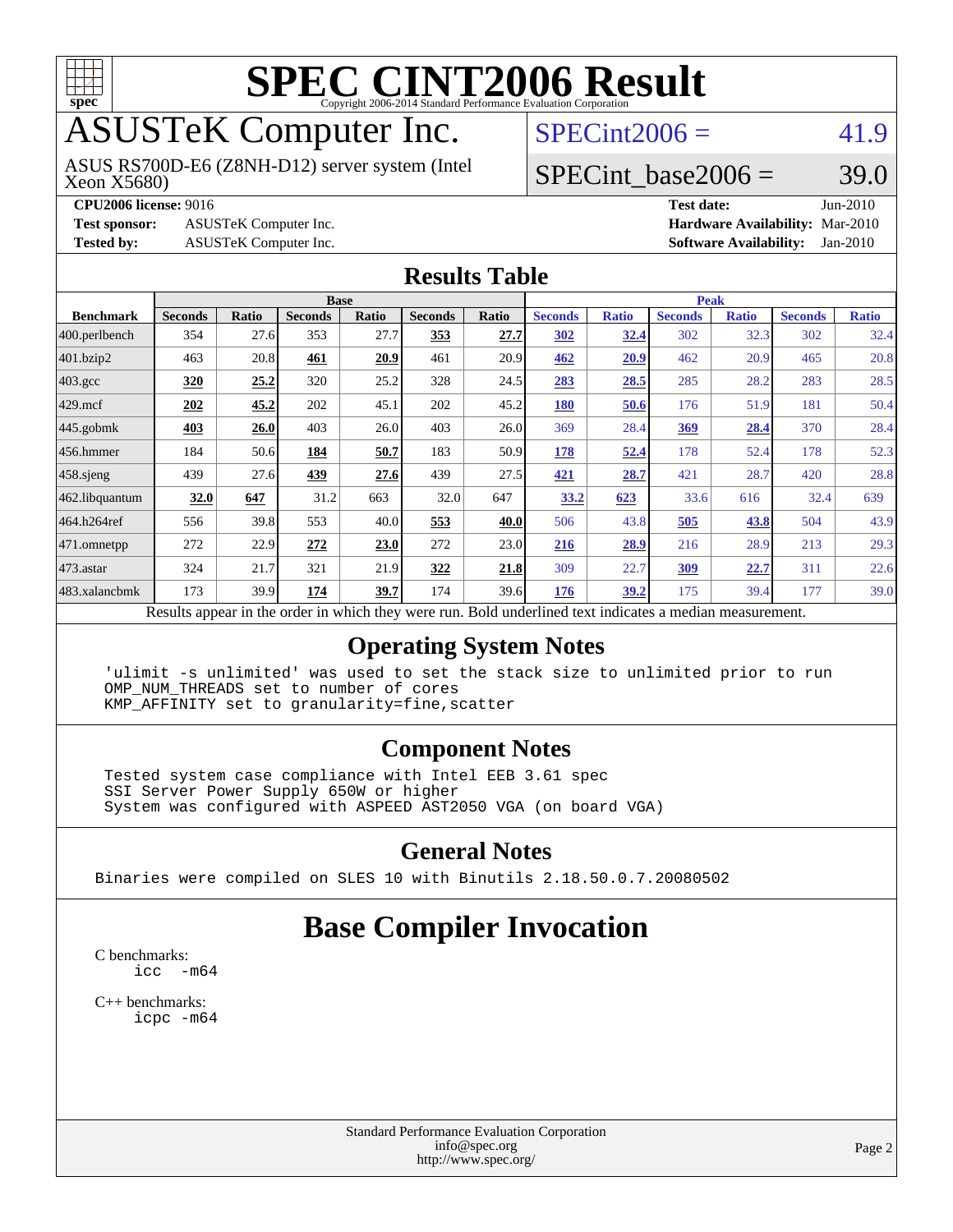

# **[SPEC CINT2006 Result](http://www.spec.org/auto/cpu2006/Docs/result-fields.html#SPECCINT2006Result)**

## ASUSTeK Computer Inc.

Xeon X5680) ASUS RS700D-E6 (Z8NH-D12) server system (Intel  $SPECint2006 = 41.9$  $SPECint2006 = 41.9$ 

#### SPECint base2006 =  $39.0$

**[CPU2006 license:](http://www.spec.org/auto/cpu2006/Docs/result-fields.html#CPU2006license)** 9016 **[Test date:](http://www.spec.org/auto/cpu2006/Docs/result-fields.html#Testdate)** Jun-2010 **[Test sponsor:](http://www.spec.org/auto/cpu2006/Docs/result-fields.html#Testsponsor)** ASUSTeK Computer Inc. **[Hardware Availability:](http://www.spec.org/auto/cpu2006/Docs/result-fields.html#HardwareAvailability)** Mar-2010 **[Tested by:](http://www.spec.org/auto/cpu2006/Docs/result-fields.html#Testedby)** ASUSTeK Computer Inc. **[Software Availability:](http://www.spec.org/auto/cpu2006/Docs/result-fields.html#SoftwareAvailability)** Jan-2010

#### **[Results Table](http://www.spec.org/auto/cpu2006/Docs/result-fields.html#ResultsTable)**

|                    | <b>Base</b>                                                                                              |       |                |       |                |       | <b>Peak</b>    |              |                |              |                |              |
|--------------------|----------------------------------------------------------------------------------------------------------|-------|----------------|-------|----------------|-------|----------------|--------------|----------------|--------------|----------------|--------------|
| <b>Benchmark</b>   | <b>Seconds</b>                                                                                           | Ratio | <b>Seconds</b> | Ratio | <b>Seconds</b> | Ratio | <b>Seconds</b> | <b>Ratio</b> | <b>Seconds</b> | <b>Ratio</b> | <b>Seconds</b> | <b>Ratio</b> |
| $ 400$ .perlbench  | 354                                                                                                      | 27.6  | 353            | 27.7  | 353            | 27.7  | <u>302</u>     | 32.4         | 302            | 32.3         | 302            | 32.4         |
| 401.bzip2          | 463                                                                                                      | 20.8  | 461            | 20.9  | 461            | 20.9  | 462            | 20.9         | 462            | 20.9         | 465            | 20.8         |
| $403.\mathrm{gcc}$ | 320                                                                                                      | 25.2  | 320            | 25.2  | 328            | 24.5  | 283            | 28.5         | 285            | 28.2         | 283            | 28.5         |
| $429$ mcf          | 202                                                                                                      | 45.2  | 202            | 45.1  | 202            | 45.2  | 180            | 50.6         | 176            | 51.9         | 181            | 50.4         |
| $445$ .gobmk       | 403                                                                                                      | 26.0  | 403            | 26.0  | 403            | 26.0  | 369            | 28.4         | <u>369</u>     | 28.4         | 370            | 28.4         |
| $456.$ hmmer       | 184                                                                                                      | 50.6  | 184            | 50.7  | 183            | 50.9  | 178            | 52.4         | 178            | 52.4         | 178            | 52.3         |
| $458$ .sjeng       | 439                                                                                                      | 27.6  | 439            | 27.6  | 439            | 27.5  | 421            | 28.7         | 421            | 28.7         | 420            | 28.8         |
| 462.libquantum     | 32.0                                                                                                     | 647   | 31.2           | 663   | 32.0           | 647   | 33.2           | 623          | 33.6           | 616          | 32.4           | 639          |
| 464.h264ref        | 556                                                                                                      | 39.8  | 553            | 40.0  | 553            | 40.0  | 506            | 43.8         | 505            | 43.8         | 504            | 43.9         |
| 471.omnetpp        | 272                                                                                                      | 22.9  | 272            | 23.0  | 272            | 23.0  | 216            | 28.9         | 216            | 28.9         | 213            | 29.3         |
| $473$ . astar      | 324                                                                                                      | 21.7  | 321            | 21.9  | 322            | 21.8  | 309            | 22.7         | 309            | 22.7         | 311            | 22.6         |
| 483.xalancbmk      | 173                                                                                                      | 39.9  | 174            | 39.7  | 174            | 39.6  | 176            | 39.2         | 175            | 39.4         | 177            | 39.0         |
|                    | Results appear in the order in which they were run. Bold underlined text indicates a median measurement. |       |                |       |                |       |                |              |                |              |                |              |

#### **[Operating System Notes](http://www.spec.org/auto/cpu2006/Docs/result-fields.html#OperatingSystemNotes)**

 'ulimit -s unlimited' was used to set the stack size to unlimited prior to run OMP\_NUM\_THREADS set to number of cores KMP\_AFFINITY set to granularity=fine,scatter

#### **[Component Notes](http://www.spec.org/auto/cpu2006/Docs/result-fields.html#ComponentNotes)**

 Tested system case compliance with Intel EEB 3.61 spec SSI Server Power Supply 650W or higher System was configured with ASPEED AST2050 VGA (on board VGA)

#### **[General Notes](http://www.spec.org/auto/cpu2006/Docs/result-fields.html#GeneralNotes)**

Binaries were compiled on SLES 10 with Binutils 2.18.50.0.7.20080502

#### **[Base Compiler Invocation](http://www.spec.org/auto/cpu2006/Docs/result-fields.html#BaseCompilerInvocation)**

[C benchmarks](http://www.spec.org/auto/cpu2006/Docs/result-fields.html#Cbenchmarks): [icc -m64](http://www.spec.org/cpu2006/results/res2010q3/cpu2006-20100705-12174.flags.html#user_CCbase_intel_icc_64bit_f346026e86af2a669e726fe758c88044)

[C++ benchmarks:](http://www.spec.org/auto/cpu2006/Docs/result-fields.html#CXXbenchmarks) [icpc -m64](http://www.spec.org/cpu2006/results/res2010q3/cpu2006-20100705-12174.flags.html#user_CXXbase_intel_icpc_64bit_fc66a5337ce925472a5c54ad6a0de310)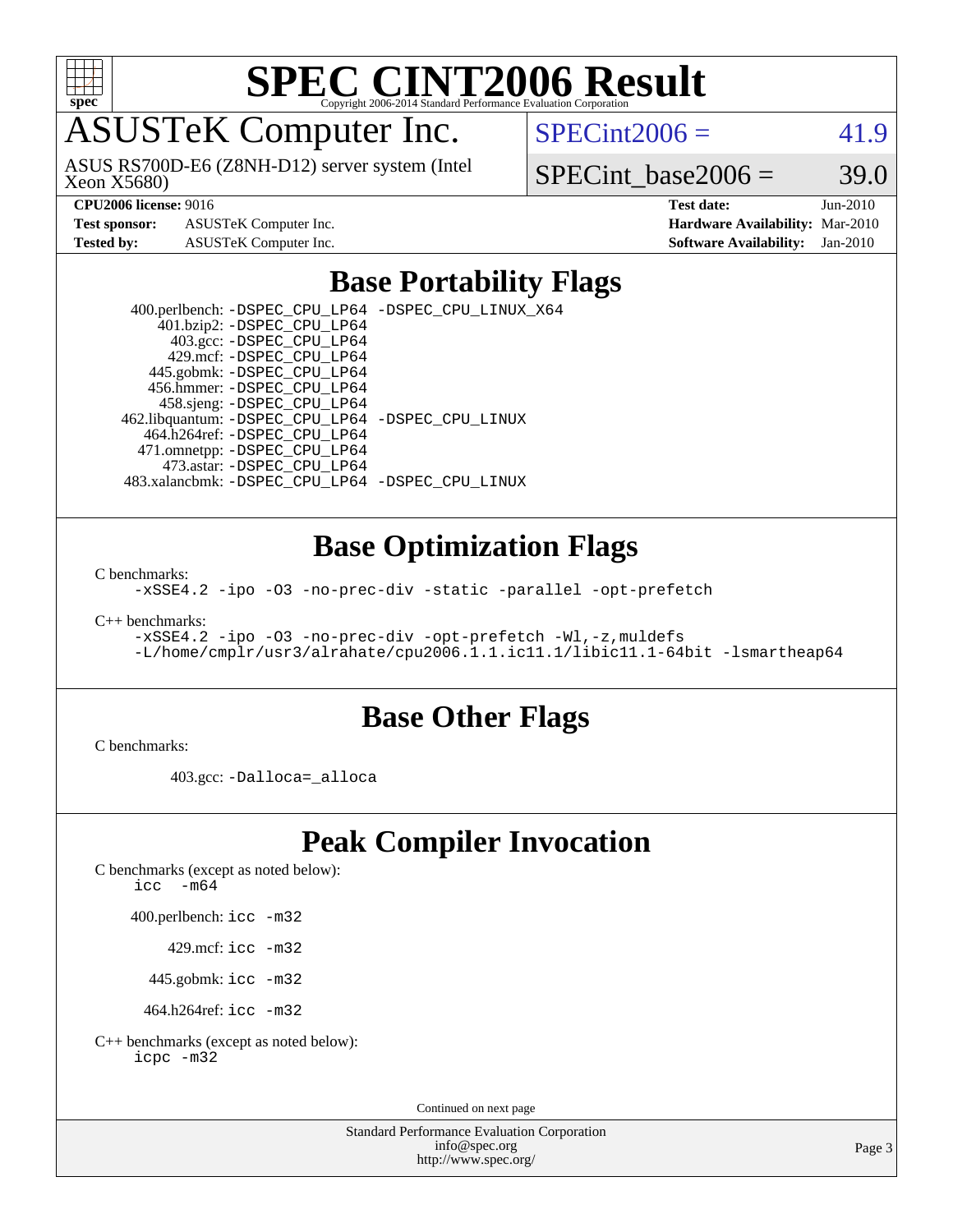

# **[SPEC CINT2006 Result](http://www.spec.org/auto/cpu2006/Docs/result-fields.html#SPECCINT2006Result)**

### ASUSTeK Computer Inc.

Xeon X5680) ASUS RS700D-E6 (Z8NH-D12) server system (Intel  $SPECint2006 = 41.9$  $SPECint2006 = 41.9$ 

SPECint base2006 =  $39.0$ 

**[Test sponsor:](http://www.spec.org/auto/cpu2006/Docs/result-fields.html#Testsponsor)** ASUSTeK Computer Inc. **[Hardware Availability:](http://www.spec.org/auto/cpu2006/Docs/result-fields.html#HardwareAvailability)** Mar-2010

**[CPU2006 license:](http://www.spec.org/auto/cpu2006/Docs/result-fields.html#CPU2006license)** 9016 **[Test date:](http://www.spec.org/auto/cpu2006/Docs/result-fields.html#Testdate)** Jun-2010 **[Tested by:](http://www.spec.org/auto/cpu2006/Docs/result-fields.html#Testedby)** ASUSTeK Computer Inc. **[Software Availability:](http://www.spec.org/auto/cpu2006/Docs/result-fields.html#SoftwareAvailability)** Jan-2010

#### **[Base Portability Flags](http://www.spec.org/auto/cpu2006/Docs/result-fields.html#BasePortabilityFlags)**

 400.perlbench: [-DSPEC\\_CPU\\_LP64](http://www.spec.org/cpu2006/results/res2010q3/cpu2006-20100705-12174.flags.html#b400.perlbench_basePORTABILITY_DSPEC_CPU_LP64) [-DSPEC\\_CPU\\_LINUX\\_X64](http://www.spec.org/cpu2006/results/res2010q3/cpu2006-20100705-12174.flags.html#b400.perlbench_baseCPORTABILITY_DSPEC_CPU_LINUX_X64) 401.bzip2: [-DSPEC\\_CPU\\_LP64](http://www.spec.org/cpu2006/results/res2010q3/cpu2006-20100705-12174.flags.html#suite_basePORTABILITY401_bzip2_DSPEC_CPU_LP64) 403.gcc: [-DSPEC\\_CPU\\_LP64](http://www.spec.org/cpu2006/results/res2010q3/cpu2006-20100705-12174.flags.html#suite_basePORTABILITY403_gcc_DSPEC_CPU_LP64) 429.mcf: [-DSPEC\\_CPU\\_LP64](http://www.spec.org/cpu2006/results/res2010q3/cpu2006-20100705-12174.flags.html#suite_basePORTABILITY429_mcf_DSPEC_CPU_LP64) 445.gobmk: [-DSPEC\\_CPU\\_LP64](http://www.spec.org/cpu2006/results/res2010q3/cpu2006-20100705-12174.flags.html#suite_basePORTABILITY445_gobmk_DSPEC_CPU_LP64) 456.hmmer: [-DSPEC\\_CPU\\_LP64](http://www.spec.org/cpu2006/results/res2010q3/cpu2006-20100705-12174.flags.html#suite_basePORTABILITY456_hmmer_DSPEC_CPU_LP64) 458.sjeng: [-DSPEC\\_CPU\\_LP64](http://www.spec.org/cpu2006/results/res2010q3/cpu2006-20100705-12174.flags.html#suite_basePORTABILITY458_sjeng_DSPEC_CPU_LP64) 462.libquantum: [-DSPEC\\_CPU\\_LP64](http://www.spec.org/cpu2006/results/res2010q3/cpu2006-20100705-12174.flags.html#suite_basePORTABILITY462_libquantum_DSPEC_CPU_LP64) [-DSPEC\\_CPU\\_LINUX](http://www.spec.org/cpu2006/results/res2010q3/cpu2006-20100705-12174.flags.html#b462.libquantum_baseCPORTABILITY_DSPEC_CPU_LINUX) 464.h264ref: [-DSPEC\\_CPU\\_LP64](http://www.spec.org/cpu2006/results/res2010q3/cpu2006-20100705-12174.flags.html#suite_basePORTABILITY464_h264ref_DSPEC_CPU_LP64) 471.omnetpp: [-DSPEC\\_CPU\\_LP64](http://www.spec.org/cpu2006/results/res2010q3/cpu2006-20100705-12174.flags.html#suite_basePORTABILITY471_omnetpp_DSPEC_CPU_LP64) 473.astar: [-DSPEC\\_CPU\\_LP64](http://www.spec.org/cpu2006/results/res2010q3/cpu2006-20100705-12174.flags.html#suite_basePORTABILITY473_astar_DSPEC_CPU_LP64) 483.xalancbmk: [-DSPEC\\_CPU\\_LP64](http://www.spec.org/cpu2006/results/res2010q3/cpu2006-20100705-12174.flags.html#suite_basePORTABILITY483_xalancbmk_DSPEC_CPU_LP64) [-DSPEC\\_CPU\\_LINUX](http://www.spec.org/cpu2006/results/res2010q3/cpu2006-20100705-12174.flags.html#b483.xalancbmk_baseCXXPORTABILITY_DSPEC_CPU_LINUX)

#### **[Base Optimization Flags](http://www.spec.org/auto/cpu2006/Docs/result-fields.html#BaseOptimizationFlags)**

[C benchmarks](http://www.spec.org/auto/cpu2006/Docs/result-fields.html#Cbenchmarks):

[-xSSE4.2](http://www.spec.org/cpu2006/results/res2010q3/cpu2006-20100705-12174.flags.html#user_CCbase_f-xSSE42_f91528193cf0b216347adb8b939d4107) [-ipo](http://www.spec.org/cpu2006/results/res2010q3/cpu2006-20100705-12174.flags.html#user_CCbase_f-ipo) [-O3](http://www.spec.org/cpu2006/results/res2010q3/cpu2006-20100705-12174.flags.html#user_CCbase_f-O3) [-no-prec-div](http://www.spec.org/cpu2006/results/res2010q3/cpu2006-20100705-12174.flags.html#user_CCbase_f-no-prec-div) [-static](http://www.spec.org/cpu2006/results/res2010q3/cpu2006-20100705-12174.flags.html#user_CCbase_f-static) [-parallel](http://www.spec.org/cpu2006/results/res2010q3/cpu2006-20100705-12174.flags.html#user_CCbase_f-parallel) [-opt-prefetch](http://www.spec.org/cpu2006/results/res2010q3/cpu2006-20100705-12174.flags.html#user_CCbase_f-opt-prefetch)

[C++ benchmarks:](http://www.spec.org/auto/cpu2006/Docs/result-fields.html#CXXbenchmarks)

```
-xSSE4.2 -ipo -O3 -no-prec-div -opt-prefetch -Wl,-z,muldefs
-L/home/cmplr/usr3/alrahate/cpu2006.1.1.ic11.1/libic11.1-64bit -lsmartheap64
```
#### **[Base Other Flags](http://www.spec.org/auto/cpu2006/Docs/result-fields.html#BaseOtherFlags)**

[C benchmarks](http://www.spec.org/auto/cpu2006/Docs/result-fields.html#Cbenchmarks):

403.gcc: [-Dalloca=\\_alloca](http://www.spec.org/cpu2006/results/res2010q3/cpu2006-20100705-12174.flags.html#b403.gcc_baseEXTRA_CFLAGS_Dalloca_be3056838c12de2578596ca5467af7f3)

#### **[Peak Compiler Invocation](http://www.spec.org/auto/cpu2006/Docs/result-fields.html#PeakCompilerInvocation)**

[C benchmarks \(except as noted below\)](http://www.spec.org/auto/cpu2006/Docs/result-fields.html#Cbenchmarksexceptasnotedbelow):

icc  $-m64$ 

400.perlbench: [icc -m32](http://www.spec.org/cpu2006/results/res2010q3/cpu2006-20100705-12174.flags.html#user_peakCCLD400_perlbench_intel_icc_32bit_a6a621f8d50482236b970c6ac5f55f93)

429.mcf: [icc -m32](http://www.spec.org/cpu2006/results/res2010q3/cpu2006-20100705-12174.flags.html#user_peakCCLD429_mcf_intel_icc_32bit_a6a621f8d50482236b970c6ac5f55f93)

445.gobmk: [icc -m32](http://www.spec.org/cpu2006/results/res2010q3/cpu2006-20100705-12174.flags.html#user_peakCCLD445_gobmk_intel_icc_32bit_a6a621f8d50482236b970c6ac5f55f93)

464.h264ref: [icc -m32](http://www.spec.org/cpu2006/results/res2010q3/cpu2006-20100705-12174.flags.html#user_peakCCLD464_h264ref_intel_icc_32bit_a6a621f8d50482236b970c6ac5f55f93)

[C++ benchmarks \(except as noted below\):](http://www.spec.org/auto/cpu2006/Docs/result-fields.html#CXXbenchmarksexceptasnotedbelow) [icpc -m32](http://www.spec.org/cpu2006/results/res2010q3/cpu2006-20100705-12174.flags.html#user_CXXpeak_intel_icpc_32bit_4e5a5ef1a53fd332b3c49e69c3330699)

Continued on next page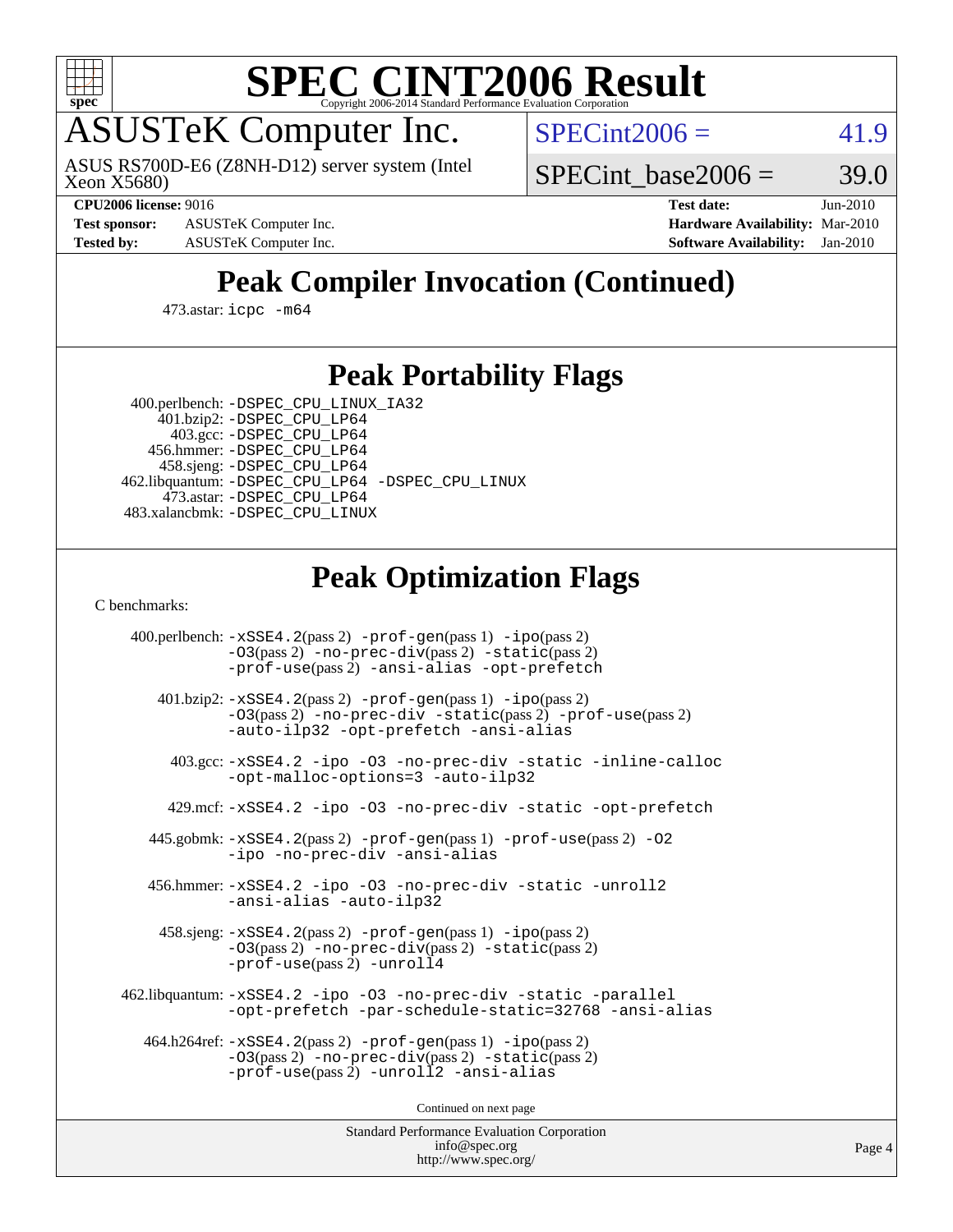

# **[SPEC CINT2006 Result](http://www.spec.org/auto/cpu2006/Docs/result-fields.html#SPECCINT2006Result)**

### ASUSTeK Computer Inc.

Xeon X5680) ASUS RS700D-E6 (Z8NH-D12) server system (Intel  $SPECint2006 = 41.9$  $SPECint2006 = 41.9$ 

**[Test sponsor:](http://www.spec.org/auto/cpu2006/Docs/result-fields.html#Testsponsor)** ASUSTeK Computer Inc. **[Hardware Availability:](http://www.spec.org/auto/cpu2006/Docs/result-fields.html#HardwareAvailability)** Mar-2010

SPECint base2006 =  $39.0$ 

**[CPU2006 license:](http://www.spec.org/auto/cpu2006/Docs/result-fields.html#CPU2006license)** 9016 **[Test date:](http://www.spec.org/auto/cpu2006/Docs/result-fields.html#Testdate)** Jun-2010 **[Tested by:](http://www.spec.org/auto/cpu2006/Docs/result-fields.html#Testedby)** ASUSTeK Computer Inc. **[Software Availability:](http://www.spec.org/auto/cpu2006/Docs/result-fields.html#SoftwareAvailability)** Jan-2010

### **[Peak Compiler Invocation \(Continued\)](http://www.spec.org/auto/cpu2006/Docs/result-fields.html#PeakCompilerInvocation)**

473.astar: [icpc -m64](http://www.spec.org/cpu2006/results/res2010q3/cpu2006-20100705-12174.flags.html#user_peakCXXLD473_astar_intel_icpc_64bit_fc66a5337ce925472a5c54ad6a0de310)

#### **[Peak Portability Flags](http://www.spec.org/auto/cpu2006/Docs/result-fields.html#PeakPortabilityFlags)**

 400.perlbench: [-DSPEC\\_CPU\\_LINUX\\_IA32](http://www.spec.org/cpu2006/results/res2010q3/cpu2006-20100705-12174.flags.html#b400.perlbench_peakCPORTABILITY_DSPEC_CPU_LINUX_IA32) 401.bzip2: [-DSPEC\\_CPU\\_LP64](http://www.spec.org/cpu2006/results/res2010q3/cpu2006-20100705-12174.flags.html#suite_peakPORTABILITY401_bzip2_DSPEC_CPU_LP64) 403.gcc: [-DSPEC\\_CPU\\_LP64](http://www.spec.org/cpu2006/results/res2010q3/cpu2006-20100705-12174.flags.html#suite_peakPORTABILITY403_gcc_DSPEC_CPU_LP64) 456.hmmer: [-DSPEC\\_CPU\\_LP64](http://www.spec.org/cpu2006/results/res2010q3/cpu2006-20100705-12174.flags.html#suite_peakPORTABILITY456_hmmer_DSPEC_CPU_LP64) 458.sjeng: [-DSPEC\\_CPU\\_LP64](http://www.spec.org/cpu2006/results/res2010q3/cpu2006-20100705-12174.flags.html#suite_peakPORTABILITY458_sjeng_DSPEC_CPU_LP64) 462.libquantum: [-DSPEC\\_CPU\\_LP64](http://www.spec.org/cpu2006/results/res2010q3/cpu2006-20100705-12174.flags.html#suite_peakPORTABILITY462_libquantum_DSPEC_CPU_LP64) [-DSPEC\\_CPU\\_LINUX](http://www.spec.org/cpu2006/results/res2010q3/cpu2006-20100705-12174.flags.html#b462.libquantum_peakCPORTABILITY_DSPEC_CPU_LINUX) 473.astar: [-DSPEC\\_CPU\\_LP64](http://www.spec.org/cpu2006/results/res2010q3/cpu2006-20100705-12174.flags.html#suite_peakPORTABILITY473_astar_DSPEC_CPU_LP64)

483.xalancbmk: [-DSPEC\\_CPU\\_LINUX](http://www.spec.org/cpu2006/results/res2010q3/cpu2006-20100705-12174.flags.html#b483.xalancbmk_peakCXXPORTABILITY_DSPEC_CPU_LINUX)

#### **[Peak Optimization Flags](http://www.spec.org/auto/cpu2006/Docs/result-fields.html#PeakOptimizationFlags)**

[C benchmarks](http://www.spec.org/auto/cpu2006/Docs/result-fields.html#Cbenchmarks):

 400.perlbench: [-xSSE4.2](http://www.spec.org/cpu2006/results/res2010q3/cpu2006-20100705-12174.flags.html#user_peakPASS2_CFLAGSPASS2_LDCFLAGS400_perlbench_f-xSSE42_f91528193cf0b216347adb8b939d4107)(pass 2) [-prof-gen](http://www.spec.org/cpu2006/results/res2010q3/cpu2006-20100705-12174.flags.html#user_peakPASS1_CFLAGSPASS1_LDCFLAGS400_perlbench_prof_gen_e43856698f6ca7b7e442dfd80e94a8fc)(pass 1) [-ipo](http://www.spec.org/cpu2006/results/res2010q3/cpu2006-20100705-12174.flags.html#user_peakPASS2_CFLAGSPASS2_LDCFLAGS400_perlbench_f-ipo)(pass 2) [-O3](http://www.spec.org/cpu2006/results/res2010q3/cpu2006-20100705-12174.flags.html#user_peakPASS2_CFLAGSPASS2_LDCFLAGS400_perlbench_f-O3)(pass 2) [-no-prec-div](http://www.spec.org/cpu2006/results/res2010q3/cpu2006-20100705-12174.flags.html#user_peakPASS2_CFLAGSPASS2_LDCFLAGS400_perlbench_f-no-prec-div)(pass 2) [-static](http://www.spec.org/cpu2006/results/res2010q3/cpu2006-20100705-12174.flags.html#user_peakPASS2_CFLAGSPASS2_LDCFLAGS400_perlbench_f-static)(pass 2) [-prof-use](http://www.spec.org/cpu2006/results/res2010q3/cpu2006-20100705-12174.flags.html#user_peakPASS2_CFLAGSPASS2_LDCFLAGS400_perlbench_prof_use_bccf7792157ff70d64e32fe3e1250b55)(pass 2) [-ansi-alias](http://www.spec.org/cpu2006/results/res2010q3/cpu2006-20100705-12174.flags.html#user_peakCOPTIMIZE400_perlbench_f-ansi-alias) [-opt-prefetch](http://www.spec.org/cpu2006/results/res2010q3/cpu2006-20100705-12174.flags.html#user_peakCOPTIMIZE400_perlbench_f-opt-prefetch) 401.bzip2: [-xSSE4.2](http://www.spec.org/cpu2006/results/res2010q3/cpu2006-20100705-12174.flags.html#user_peakPASS2_CFLAGSPASS2_LDCFLAGS401_bzip2_f-xSSE42_f91528193cf0b216347adb8b939d4107)(pass 2) [-prof-gen](http://www.spec.org/cpu2006/results/res2010q3/cpu2006-20100705-12174.flags.html#user_peakPASS1_CFLAGSPASS1_LDCFLAGS401_bzip2_prof_gen_e43856698f6ca7b7e442dfd80e94a8fc)(pass 1) [-ipo](http://www.spec.org/cpu2006/results/res2010q3/cpu2006-20100705-12174.flags.html#user_peakPASS2_CFLAGSPASS2_LDCFLAGS401_bzip2_f-ipo)(pass 2) [-O3](http://www.spec.org/cpu2006/results/res2010q3/cpu2006-20100705-12174.flags.html#user_peakPASS2_CFLAGSPASS2_LDCFLAGS401_bzip2_f-O3)(pass 2) [-no-prec-div](http://www.spec.org/cpu2006/results/res2010q3/cpu2006-20100705-12174.flags.html#user_peakCOPTIMIZEPASS2_CFLAGSPASS2_LDCFLAGS401_bzip2_f-no-prec-div) [-static](http://www.spec.org/cpu2006/results/res2010q3/cpu2006-20100705-12174.flags.html#user_peakPASS2_CFLAGSPASS2_LDCFLAGS401_bzip2_f-static)(pass 2) [-prof-use](http://www.spec.org/cpu2006/results/res2010q3/cpu2006-20100705-12174.flags.html#user_peakPASS2_CFLAGSPASS2_LDCFLAGS401_bzip2_prof_use_bccf7792157ff70d64e32fe3e1250b55)(pass 2) [-auto-ilp32](http://www.spec.org/cpu2006/results/res2010q3/cpu2006-20100705-12174.flags.html#user_peakCOPTIMIZE401_bzip2_f-auto-ilp32) [-opt-prefetch](http://www.spec.org/cpu2006/results/res2010q3/cpu2006-20100705-12174.flags.html#user_peakCOPTIMIZE401_bzip2_f-opt-prefetch) [-ansi-alias](http://www.spec.org/cpu2006/results/res2010q3/cpu2006-20100705-12174.flags.html#user_peakCOPTIMIZE401_bzip2_f-ansi-alias) 403.gcc: [-xSSE4.2](http://www.spec.org/cpu2006/results/res2010q3/cpu2006-20100705-12174.flags.html#user_peakCOPTIMIZE403_gcc_f-xSSE42_f91528193cf0b216347adb8b939d4107) [-ipo](http://www.spec.org/cpu2006/results/res2010q3/cpu2006-20100705-12174.flags.html#user_peakCOPTIMIZE403_gcc_f-ipo) [-O3](http://www.spec.org/cpu2006/results/res2010q3/cpu2006-20100705-12174.flags.html#user_peakCOPTIMIZE403_gcc_f-O3) [-no-prec-div](http://www.spec.org/cpu2006/results/res2010q3/cpu2006-20100705-12174.flags.html#user_peakCOPTIMIZE403_gcc_f-no-prec-div) [-static](http://www.spec.org/cpu2006/results/res2010q3/cpu2006-20100705-12174.flags.html#user_peakCOPTIMIZE403_gcc_f-static) [-inline-calloc](http://www.spec.org/cpu2006/results/res2010q3/cpu2006-20100705-12174.flags.html#user_peakCOPTIMIZE403_gcc_f-inline-calloc) [-opt-malloc-options=3](http://www.spec.org/cpu2006/results/res2010q3/cpu2006-20100705-12174.flags.html#user_peakCOPTIMIZE403_gcc_f-opt-malloc-options_13ab9b803cf986b4ee62f0a5998c2238) [-auto-ilp32](http://www.spec.org/cpu2006/results/res2010q3/cpu2006-20100705-12174.flags.html#user_peakCOPTIMIZE403_gcc_f-auto-ilp32) 429.mcf: [-xSSE4.2](http://www.spec.org/cpu2006/results/res2010q3/cpu2006-20100705-12174.flags.html#user_peakCOPTIMIZE429_mcf_f-xSSE42_f91528193cf0b216347adb8b939d4107) [-ipo](http://www.spec.org/cpu2006/results/res2010q3/cpu2006-20100705-12174.flags.html#user_peakCOPTIMIZE429_mcf_f-ipo) [-O3](http://www.spec.org/cpu2006/results/res2010q3/cpu2006-20100705-12174.flags.html#user_peakCOPTIMIZE429_mcf_f-O3) [-no-prec-div](http://www.spec.org/cpu2006/results/res2010q3/cpu2006-20100705-12174.flags.html#user_peakCOPTIMIZE429_mcf_f-no-prec-div) [-static](http://www.spec.org/cpu2006/results/res2010q3/cpu2006-20100705-12174.flags.html#user_peakCOPTIMIZE429_mcf_f-static) [-opt-prefetch](http://www.spec.org/cpu2006/results/res2010q3/cpu2006-20100705-12174.flags.html#user_peakCOPTIMIZE429_mcf_f-opt-prefetch) 445.gobmk: [-xSSE4.2](http://www.spec.org/cpu2006/results/res2010q3/cpu2006-20100705-12174.flags.html#user_peakPASS2_CFLAGSPASS2_LDCFLAGS445_gobmk_f-xSSE42_f91528193cf0b216347adb8b939d4107)(pass 2) [-prof-gen](http://www.spec.org/cpu2006/results/res2010q3/cpu2006-20100705-12174.flags.html#user_peakPASS1_CFLAGSPASS1_LDCFLAGS445_gobmk_prof_gen_e43856698f6ca7b7e442dfd80e94a8fc)(pass 1) [-prof-use](http://www.spec.org/cpu2006/results/res2010q3/cpu2006-20100705-12174.flags.html#user_peakPASS2_CFLAGSPASS2_LDCFLAGS445_gobmk_prof_use_bccf7792157ff70d64e32fe3e1250b55)(pass 2) [-O2](http://www.spec.org/cpu2006/results/res2010q3/cpu2006-20100705-12174.flags.html#user_peakCOPTIMIZE445_gobmk_f-O2) [-ipo](http://www.spec.org/cpu2006/results/res2010q3/cpu2006-20100705-12174.flags.html#user_peakCOPTIMIZE445_gobmk_f-ipo) [-no-prec-div](http://www.spec.org/cpu2006/results/res2010q3/cpu2006-20100705-12174.flags.html#user_peakCOPTIMIZE445_gobmk_f-no-prec-div) [-ansi-alias](http://www.spec.org/cpu2006/results/res2010q3/cpu2006-20100705-12174.flags.html#user_peakCOPTIMIZE445_gobmk_f-ansi-alias) 456.hmmer: [-xSSE4.2](http://www.spec.org/cpu2006/results/res2010q3/cpu2006-20100705-12174.flags.html#user_peakCOPTIMIZE456_hmmer_f-xSSE42_f91528193cf0b216347adb8b939d4107) [-ipo](http://www.spec.org/cpu2006/results/res2010q3/cpu2006-20100705-12174.flags.html#user_peakCOPTIMIZE456_hmmer_f-ipo) [-O3](http://www.spec.org/cpu2006/results/res2010q3/cpu2006-20100705-12174.flags.html#user_peakCOPTIMIZE456_hmmer_f-O3) [-no-prec-div](http://www.spec.org/cpu2006/results/res2010q3/cpu2006-20100705-12174.flags.html#user_peakCOPTIMIZE456_hmmer_f-no-prec-div) [-static](http://www.spec.org/cpu2006/results/res2010q3/cpu2006-20100705-12174.flags.html#user_peakCOPTIMIZE456_hmmer_f-static) [-unroll2](http://www.spec.org/cpu2006/results/res2010q3/cpu2006-20100705-12174.flags.html#user_peakCOPTIMIZE456_hmmer_f-unroll_784dae83bebfb236979b41d2422d7ec2) [-ansi-alias](http://www.spec.org/cpu2006/results/res2010q3/cpu2006-20100705-12174.flags.html#user_peakCOPTIMIZE456_hmmer_f-ansi-alias) [-auto-ilp32](http://www.spec.org/cpu2006/results/res2010q3/cpu2006-20100705-12174.flags.html#user_peakCOPTIMIZE456_hmmer_f-auto-ilp32) 458.sjeng: [-xSSE4.2](http://www.spec.org/cpu2006/results/res2010q3/cpu2006-20100705-12174.flags.html#user_peakPASS2_CFLAGSPASS2_LDCFLAGS458_sjeng_f-xSSE42_f91528193cf0b216347adb8b939d4107)(pass 2) [-prof-gen](http://www.spec.org/cpu2006/results/res2010q3/cpu2006-20100705-12174.flags.html#user_peakPASS1_CFLAGSPASS1_LDCFLAGS458_sjeng_prof_gen_e43856698f6ca7b7e442dfd80e94a8fc)(pass 1) [-ipo](http://www.spec.org/cpu2006/results/res2010q3/cpu2006-20100705-12174.flags.html#user_peakPASS2_CFLAGSPASS2_LDCFLAGS458_sjeng_f-ipo)(pass 2) [-O3](http://www.spec.org/cpu2006/results/res2010q3/cpu2006-20100705-12174.flags.html#user_peakPASS2_CFLAGSPASS2_LDCFLAGS458_sjeng_f-O3)(pass 2) [-no-prec-div](http://www.spec.org/cpu2006/results/res2010q3/cpu2006-20100705-12174.flags.html#user_peakPASS2_CFLAGSPASS2_LDCFLAGS458_sjeng_f-no-prec-div)(pass 2) [-static](http://www.spec.org/cpu2006/results/res2010q3/cpu2006-20100705-12174.flags.html#user_peakPASS2_CFLAGSPASS2_LDCFLAGS458_sjeng_f-static)(pass 2) [-prof-use](http://www.spec.org/cpu2006/results/res2010q3/cpu2006-20100705-12174.flags.html#user_peakPASS2_CFLAGSPASS2_LDCFLAGS458_sjeng_prof_use_bccf7792157ff70d64e32fe3e1250b55)(pass 2) [-unroll4](http://www.spec.org/cpu2006/results/res2010q3/cpu2006-20100705-12174.flags.html#user_peakCOPTIMIZE458_sjeng_f-unroll_4e5e4ed65b7fd20bdcd365bec371b81f) 462.libquantum: [-xSSE4.2](http://www.spec.org/cpu2006/results/res2010q3/cpu2006-20100705-12174.flags.html#user_peakCOPTIMIZE462_libquantum_f-xSSE42_f91528193cf0b216347adb8b939d4107) [-ipo](http://www.spec.org/cpu2006/results/res2010q3/cpu2006-20100705-12174.flags.html#user_peakCOPTIMIZE462_libquantum_f-ipo) [-O3](http://www.spec.org/cpu2006/results/res2010q3/cpu2006-20100705-12174.flags.html#user_peakCOPTIMIZE462_libquantum_f-O3) [-no-prec-div](http://www.spec.org/cpu2006/results/res2010q3/cpu2006-20100705-12174.flags.html#user_peakCOPTIMIZE462_libquantum_f-no-prec-div) [-static](http://www.spec.org/cpu2006/results/res2010q3/cpu2006-20100705-12174.flags.html#user_peakCOPTIMIZE462_libquantum_f-static) [-parallel](http://www.spec.org/cpu2006/results/res2010q3/cpu2006-20100705-12174.flags.html#user_peakCOPTIMIZE462_libquantum_f-parallel) [-opt-prefetch](http://www.spec.org/cpu2006/results/res2010q3/cpu2006-20100705-12174.flags.html#user_peakCOPTIMIZE462_libquantum_f-opt-prefetch) [-par-schedule-static=32768](http://www.spec.org/cpu2006/results/res2010q3/cpu2006-20100705-12174.flags.html#user_peakCOPTIMIZE462_libquantum_f-par-schedule_9386bcd99ba64e99ee01d1aafefddd14) [-ansi-alias](http://www.spec.org/cpu2006/results/res2010q3/cpu2006-20100705-12174.flags.html#user_peakCOPTIMIZE462_libquantum_f-ansi-alias) 464.h264ref: [-xSSE4.2](http://www.spec.org/cpu2006/results/res2010q3/cpu2006-20100705-12174.flags.html#user_peakPASS2_CFLAGSPASS2_LDCFLAGS464_h264ref_f-xSSE42_f91528193cf0b216347adb8b939d4107)(pass 2) [-prof-gen](http://www.spec.org/cpu2006/results/res2010q3/cpu2006-20100705-12174.flags.html#user_peakPASS1_CFLAGSPASS1_LDCFLAGS464_h264ref_prof_gen_e43856698f6ca7b7e442dfd80e94a8fc)(pass 1) [-ipo](http://www.spec.org/cpu2006/results/res2010q3/cpu2006-20100705-12174.flags.html#user_peakPASS2_CFLAGSPASS2_LDCFLAGS464_h264ref_f-ipo)(pass 2) [-O3](http://www.spec.org/cpu2006/results/res2010q3/cpu2006-20100705-12174.flags.html#user_peakPASS2_CFLAGSPASS2_LDCFLAGS464_h264ref_f-O3)(pass 2) [-no-prec-div](http://www.spec.org/cpu2006/results/res2010q3/cpu2006-20100705-12174.flags.html#user_peakPASS2_CFLAGSPASS2_LDCFLAGS464_h264ref_f-no-prec-div)(pass 2) [-static](http://www.spec.org/cpu2006/results/res2010q3/cpu2006-20100705-12174.flags.html#user_peakPASS2_CFLAGSPASS2_LDCFLAGS464_h264ref_f-static)(pass 2) [-prof-use](http://www.spec.org/cpu2006/results/res2010q3/cpu2006-20100705-12174.flags.html#user_peakPASS2_CFLAGSPASS2_LDCFLAGS464_h264ref_prof_use_bccf7792157ff70d64e32fe3e1250b55)(pass 2) [-unroll2](http://www.spec.org/cpu2006/results/res2010q3/cpu2006-20100705-12174.flags.html#user_peakCOPTIMIZE464_h264ref_f-unroll_784dae83bebfb236979b41d2422d7ec2) [-ansi-alias](http://www.spec.org/cpu2006/results/res2010q3/cpu2006-20100705-12174.flags.html#user_peakCOPTIMIZE464_h264ref_f-ansi-alias)

Continued on next page